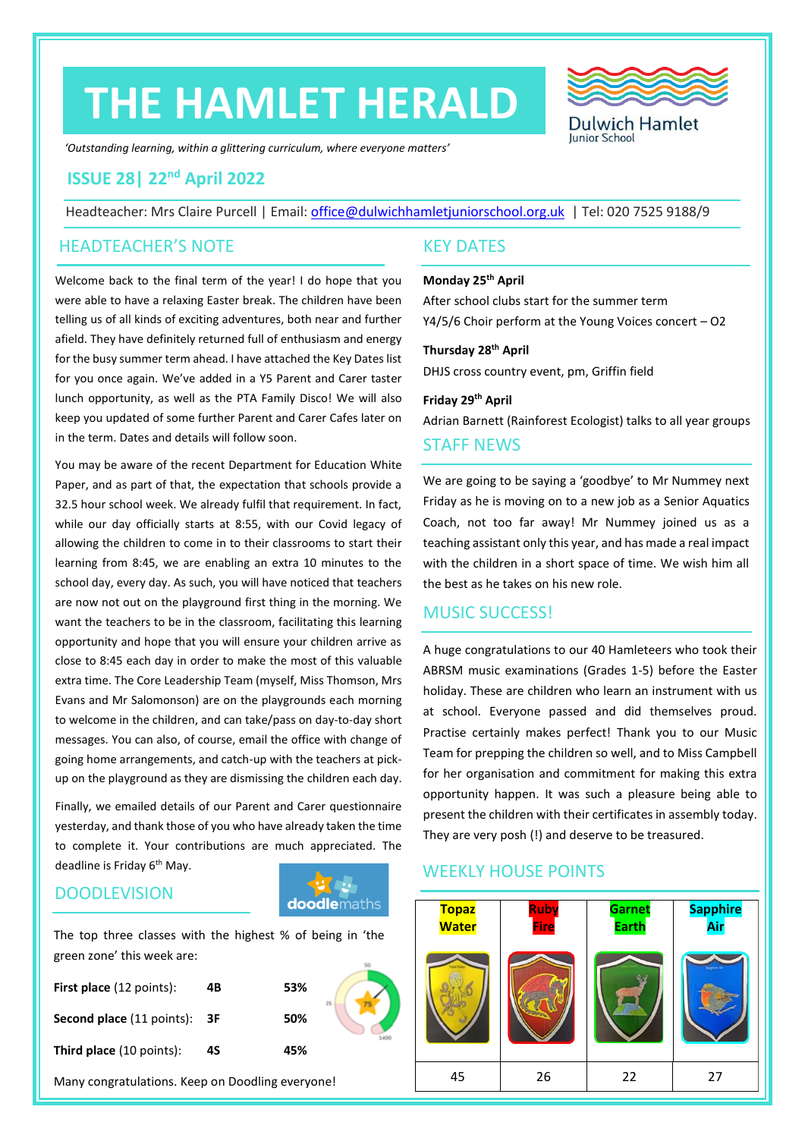# **THE HAMLET HERALD**



*'Outstanding learning, within a glittering curriculum, where everyone matters'*

# **ISSUE 28| 22nd April 2022**

Headteacher: Mrs Claire Purcell | Email: [office@dulwichhamletjuniorschool.org.uk](mailto:office@dulwichhamletjuniorschool.org.uk) | Tel: 020 7525 9188/9

#### HEADTEACHER'S NOTE KEY DATES

Welcome back to the final term of the year! I do hope that you were able to have a relaxing Easter break. The children have been telling us of all kinds of exciting adventures, both near and further afield. They have definitely returned full of enthusiasm and energy for the busy summer term ahead. I have attached the Key Dates list for you once again. We've added in a Y5 Parent and Carer taster lunch opportunity, as well as the PTA Family Disco! We will also keep you updated of some further Parent and Carer Cafes later on in the term. Dates and details will follow soon.

You may be aware of the recent Department for Education White Paper, and as part of that, the expectation that schools provide a 32.5 hour school week. We already fulfil that requirement. In fact, while our day officially starts at 8:55, with our Covid legacy of allowing the children to come in to their classrooms to start their learning from 8:45, we are enabling an extra 10 minutes to the school day, every day. As such, you will have noticed that teachers are now not out on the playground first thing in the morning. We want the teachers to be in the classroom, facilitating this learning opportunity and hope that you will ensure your children arrive as close to 8:45 each day in order to make the most of this valuable extra time. The Core Leadership Team (myself, Miss Thomson, Mrs Evans and Mr Salomonson) are on the playgrounds each morning to welcome in the children, and can take/pass on day-to-day short messages. You can also, of course, email the office with change of going home arrangements, and catch-up with the teachers at pickup on the playground as they are dismissing the children each day.

Finally, we emailed details of our Parent and Carer questionnaire yesterday, and thank those of you who have already taken the time to complete it. Your contributions are much appreciated. The deadline is Friday 6<sup>th</sup> May.

#### **DOODLEVISION**



The top three classes with the highest % of being in 'the green zone' this week are:

| <b>First place</b> (12 points):     | 4B | 53% |  |
|-------------------------------------|----|-----|--|
| <b>Second place (11 points): 3F</b> |    | 50% |  |
| <b>Third place</b> (10 points):     | 4S | 45% |  |

Many congratulations. Keep on Doodling everyone!

#### **Monday 25 th April**

After school clubs start for the summer term Y4/5/6 Choir perform at the Young Voices concert – O2

#### **Thursday 28th April**

DHJS cross country event, pm, Griffin field

#### **Friday 29th April** Adrian Barnett (Rainforest Ecologist) talks to all year groups

#### STAFF NEWS

We are going to be saying a 'goodbye' to Mr Nummey next Friday as he is moving on to a new job as a Senior Aquatics Coach, not too far away! Mr Nummey joined us as a teaching assistant only this year, and has made a real impact with the children in a short space of time. We wish him all the best as he takes on his new role.

## MUSIC SUCCESS!

A huge congratulations to our 40 Hamleteers who took their ABRSM music examinations (Grades 1-5) before the Easter holiday. These are children who learn an instrument with us at school. Everyone passed and did themselves proud. Practise certainly makes perfect! Thank you to our Music Team for prepping the children so well, and to Miss Campbell for her organisation and commitment for making this extra opportunity happen. It was such a pleasure being able to present the children with their certificates in assembly today. They are very posh (!) and deserve to be treasured.

### WEEKLY HOUSE POINTS

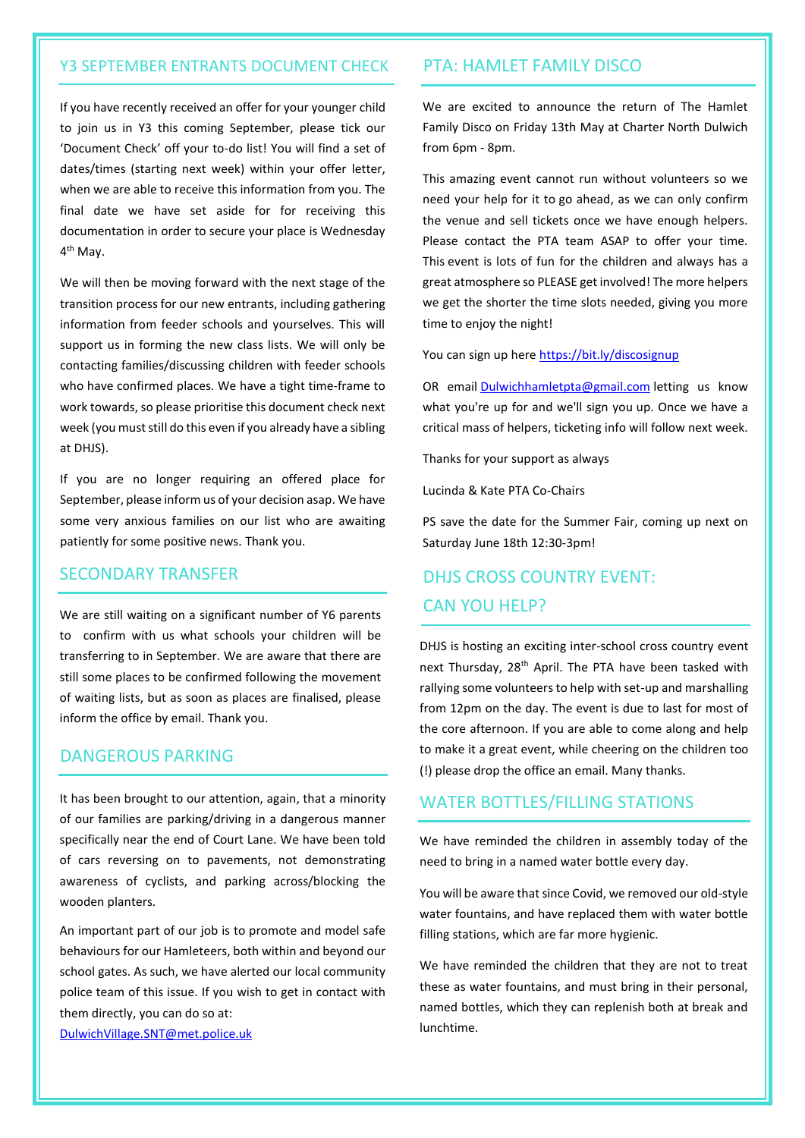#### Y3 SEPTEMBER ENTRANTS DOCUMENT CHECK

If you have recently received an offer for your younger child to join us in Y3 this coming September, please tick our 'Document Check' off your to-do list! You will find a set of dates/times (starting next week) within your offer letter, when we are able to receive this information from you. The final date we have set aside for for receiving this documentation in order to secure your place is Wednesday 4<sup>th</sup> May.

We will then be moving forward with the next stage of the transition process for our new entrants, including gathering information from feeder schools and yourselves. This will support us in forming the new class lists. We will only be contacting families/discussing children with feeder schools who have confirmed places. We have a tight time-frame to work towards, so please prioritise this document check next week (you must still do this even if you already have a sibling at DHJS).

If you are no longer requiring an offered place for September, please inform us of your decision asap. We have some very anxious families on our list who are awaiting patiently for some positive news. Thank you.

#### SECONDARY TRANSFER

We are still waiting on a significant number of Y6 parents to confirm with us what schools your children will be transferring to in September. We are aware that there are still some places to be confirmed following the movement of waiting lists, but as soon as places are finalised, please inform the office by email. Thank you.

#### DANGEROUS PARKING

It has been brought to our attention, again, that a minority of our families are parking/driving in a dangerous manner specifically near the end of Court Lane. We have been told of cars reversing on to pavements, not demonstrating awareness of cyclists, and parking across/blocking the wooden planters.

An important part of our job is to promote and model safe behaviours for our Hamleteers, both within and beyond our school gates. As such, we have alerted our local community police team of this issue. If you wish to get in contact with them directly, you can do so at:

[DulwichVillage.SNT@met.police.uk](mailto:DulwichVillage.SNT@met.police.uk)

#### PTA: HAMLET FAMILY DISCO

We are excited to announce the return of The Hamlet Family Disco on Friday 13th May at Charter North Dulwich from 6pm - 8pm.

This amazing event cannot run without volunteers so we need your help for it to go ahead, as we can only confirm the venue and sell tickets once we have enough helpers. Please contact the PTA team ASAP to offer your time. This event is lots of fun for the children and always has a great atmosphere so PLEASE get involved! The more helpers we get the shorter the time slots needed, giving you more time to enjoy the night!

You can sign up here <https://bit.ly/discosignup>

OR email [Dulwichhamletpta@gmail.com](mailto:Dulwichhamletpta@gmail.com) letting us know what you're up for and we'll sign you up. Once we have a critical mass of helpers, ticketing info will follow next week.

Thanks for your support as always

Lucinda & Kate PTA Co-Chairs

PS save the date for the Summer Fair, coming up next on Saturday June 18th 12:30-3pm!

# DHJS CROSS COUNTRY EVENT: CAN YOU HELP?

DHJS is hosting an exciting inter-school cross country event next Thursday, 28<sup>th</sup> April. The PTA have been tasked with rallying some volunteers to help with set-up and marshalling from 12pm on the day. The event is due to last for most of the core afternoon. If you are able to come along and help to make it a great event, while cheering on the children too (!) please drop the office an email. Many thanks.

#### WATER BOTTLES/FILLING STATIONS

We have reminded the children in assembly today of the need to bring in a named water bottle every day.

You will be aware that since Covid, we removed our old-style water fountains, and have replaced them with water bottle filling stations, which are far more hygienic.

We have reminded the children that they are not to treat these as water fountains, and must bring in their personal, named bottles, which they can replenish both at break and lunchtime.